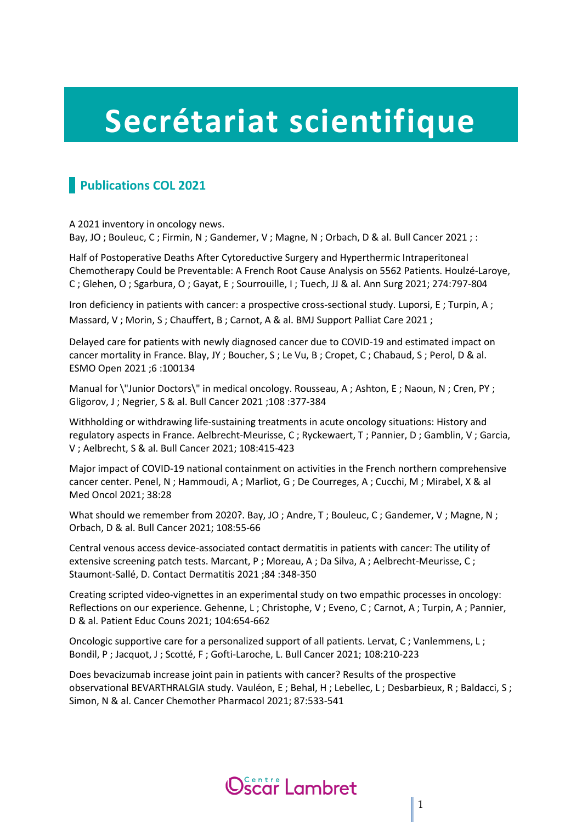## **Secrétariat scientifique**

## **Publications COL 2021**

A 2021 inventory in oncology news. Bay, JO; Bouleuc, C; Firmin, N; Gandemer, V; Magne, N; Orbach, D & al. Bull Cancer 2021; :

Half of Postoperative Deaths After Cytoreductive Surgery and Hyperthermic Intraperitoneal Chemotherapy Could be Preventable: A French Root Cause Analysis on 5562 Patients. Houlzé-Laroye, C ; Glehen, O ; Sgarbura, O ; Gayat, E ; Sourrouille, I ; Tuech, JJ & al. Ann Surg 2021; 274:797-804

Iron deficiency in patients with cancer: a prospective cross-sectional study. Luporsi, E; Turpin, A; Massard, V; Morin, S; Chauffert, B; Carnot, A & al. BMJ Support Palliat Care 2021;

Delayed care for patients with newly diagnosed cancer due to COVID-19 and estimated impact on cancer mortality in France. Blay, JY ; Boucher, S ; Le Vu, B ; Cropet, C ; Chabaud, S ; Perol, D & al. ESMO Open 2021 ;6 :100134

Manual for \"Junior Doctors\" in medical oncology. Rousseau, A ; Ashton, E ; Naoun, N ; Cren, PY ; Gligorov, J ; Negrier, S & al. Bull Cancer 2021 ;108 :377-384

Withholding or withdrawing life-sustaining treatments in acute oncology situations: History and regulatory aspects in France. Aelbrecht-Meurisse, C ; Ryckewaert, T ; Pannier, D ; Gamblin, V ; Garcia, V ; Aelbrecht, S & al. Bull Cancer 2021; 108:415-423

Major impact of COVID-19 national containment on activities in the French northern comprehensive cancer center. Penel, N ; Hammoudi, A ; Marliot, G ; De Courreges, A ; Cucchi, M ; Mirabel, X & al Med Oncol 2021; 38:28

What should we remember from 2020?. Bay, JO; Andre, T; Bouleuc, C; Gandemer, V; Magne, N; Orbach, D & al. Bull Cancer 2021; 108:55-66

Central venous access device-associated contact dermatitis in patients with cancer: The utility of extensive screening patch tests. Marcant, P ; Moreau, A ; Da Silva, A ; Aelbrecht-Meurisse, C ; Staumont-Sallé, D. Contact Dermatitis 2021 ;84 :348-350

Creating scripted video-vignettes in an experimental study on two empathic processes in oncology: Reflections on our experience. Gehenne, L; Christophe, V; Eveno, C; Carnot, A; Turpin, A; Pannier, D & al. Patient Educ Couns 2021; 104:654-662

Oncologic supportive care for a personalized support of all patients. Lervat, C; Vanlemmens, L; Bondil, P ; Jacquot, J ; Scotté, F ; Gofti-Laroche, L. Bull Cancer 2021; 108:210-223

Does bevacizumab increase joint pain in patients with cancer? Results of the prospective observational BEVARTHRALGIA study. Vauléon, E ; Behal, H ; Lebellec, L ; Desbarbieux, R ; Baldacci, S ; Simon, N & al. Cancer Chemother Pharmacol 2021; 87:533-541

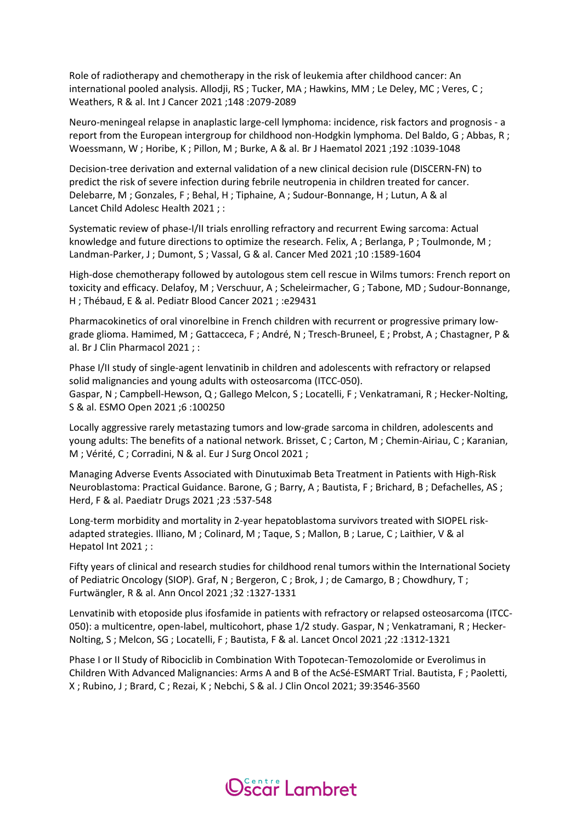Role of radiotherapy and chemotherapy in the risk of leukemia after childhood cancer: An international pooled analysis. Allodji, RS ; Tucker, MA ; Hawkins, MM ; Le Deley, MC ; Veres, C ; Weathers, R & al. Int J Cancer 2021 ;148 :2079-2089

Neuro-meningeal relapse in anaplastic large-cell lymphoma: incidence, risk factors and prognosis - a report from the European intergroup for childhood non-Hodgkin lymphoma. Del Baldo, G ; Abbas, R ; Woessmann, W ; Horibe, K ; Pillon, M ; Burke, A & al. Br J Haematol 2021 ;192 :1039-1048

Decision-tree derivation and external validation of a new clinical decision rule (DISCERN-FN) to predict the risk of severe infection during febrile neutropenia in children treated for cancer. Delebarre, M ; Gonzales, F ; Behal, H ; Tiphaine, A ; Sudour-Bonnange, H ; Lutun, A & al Lancet Child Adolesc Health 2021 ; :

Systematic review of phase-I/II trials enrolling refractory and recurrent Ewing sarcoma: Actual knowledge and future directions to optimize the research. Felix, A ; Berlanga, P ; Toulmonde, M ; Landman-Parker, J ; Dumont, S ; Vassal, G & al. Cancer Med 2021 ;10 :1589-1604

High-dose chemotherapy followed by autologous stem cell rescue in Wilms tumors: French report on toxicity and efficacy. Delafoy, M ; Verschuur, A ; Scheleirmacher, G ; Tabone, MD ; Sudour-Bonnange, H ; Thébaud, E & al. Pediatr Blood Cancer 2021 ; :e29431

Pharmacokinetics of oral vinorelbine in French children with recurrent or progressive primary lowgrade glioma. Hamimed, M ; Gattacceca, F ; André, N ; Tresch-Bruneel, E ; Probst, A ; Chastagner, P & al. Br J Clin Pharmacol 2021 ; :

Phase I/II study of single-agent lenvatinib in children and adolescents with refractory or relapsed solid malignancies and young adults with osteosarcoma (ITCC-050). Gaspar, N ; Campbell-Hewson, Q ; Gallego Melcon, S ; Locatelli, F ; Venkatramani, R ; Hecker-Nolting, S & al. ESMO Open 2021 ;6 :100250

Locally aggressive rarely metastazing tumors and low-grade sarcoma in children, adolescents and young adults: The benefits of a national network. Brisset, C ; Carton, M ; Chemin-Airiau, C ; Karanian, M ; Vérité, C ; Corradini, N & al. Eur J Surg Oncol 2021 ;

Managing Adverse Events Associated with Dinutuximab Beta Treatment in Patients with High-Risk Neuroblastoma: Practical Guidance. Barone, G ; Barry, A ; Bautista, F ; Brichard, B ; Defachelles, AS ; Herd, F & al. Paediatr Drugs 2021 ;23 :537-548

Long-term morbidity and mortality in 2-year hepatoblastoma survivors treated with SIOPEL riskadapted strategies. Illiano, M ; Colinard, M ; Taque, S ; Mallon, B ; Larue, C ; Laithier, V & al Hepatol Int 2021 ; :

Fifty years of clinical and research studies for childhood renal tumors within the International Society of Pediatric Oncology (SIOP). Graf, N ; Bergeron, C ; Brok, J ; de Camargo, B ; Chowdhury, T ; Furtwängler, R & al. Ann Oncol 2021 ;32 :1327-1331

Lenvatinib with etoposide plus ifosfamide in patients with refractory or relapsed osteosarcoma (ITCC-050): a multicentre, open-label, multicohort, phase 1/2 study. Gaspar, N ; Venkatramani, R ; Hecker-Nolting, S ; Melcon, SG ; Locatelli, F ; Bautista, F & al. Lancet Oncol 2021 ;22 :1312-1321

Phase I or II Study of Ribociclib in Combination With Topotecan-Temozolomide or Everolimus in Children With Advanced Malignancies: Arms A and B of the AcSé-ESMART Trial. Bautista, F ; Paoletti, X ; Rubino, J ; Brard, C ; Rezai, K ; Nebchi, S & al. J Clin Oncol 2021; 39:3546-3560

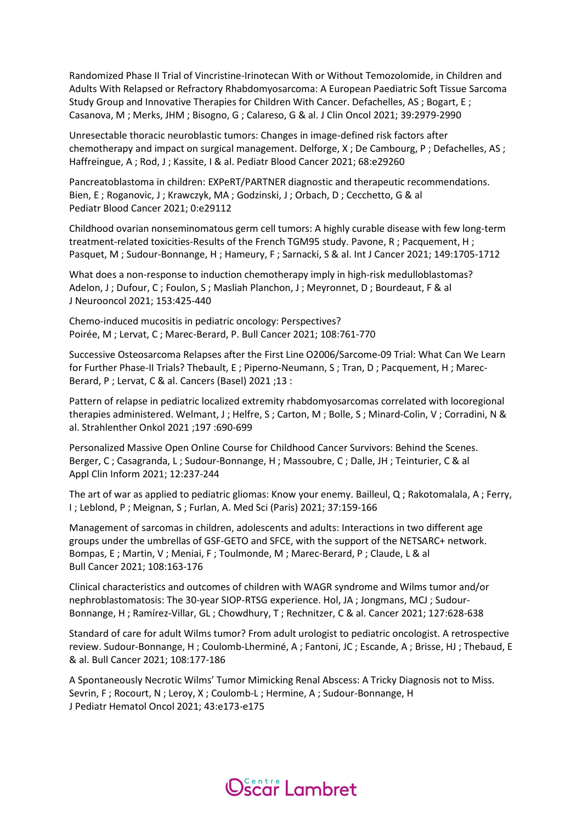Randomized Phase II Trial of Vincristine-Irinotecan With or Without Temozolomide, in Children and Adults With Relapsed or Refractory Rhabdomyosarcoma: A European Paediatric Soft Tissue Sarcoma Study Group and Innovative Therapies for Children With Cancer. Defachelles, AS ; Bogart, E ; Casanova, M ; Merks, JHM ; Bisogno, G ; Calareso, G & al. J Clin Oncol 2021; 39:2979-2990

Unresectable thoracic neuroblastic tumors: Changes in image-defined risk factors after chemotherapy and impact on surgical management. Delforge, X ; De Cambourg, P ; Defachelles, AS ; Haffreingue, A ; Rod, J ; Kassite, I & al. Pediatr Blood Cancer 2021; 68:e29260

Pancreatoblastoma in children: EXPeRT/PARTNER diagnostic and therapeutic recommendations. Bien, E ; Roganovic, J ; Krawczyk, MA ; Godzinski, J ; Orbach, D ; Cecchetto, G & al Pediatr Blood Cancer 2021; 0:e29112

Childhood ovarian nonseminomatous germ cell tumors: A highly curable disease with few long-term treatment-related toxicities-Results of the French TGM95 study. Pavone, R ; Pacquement, H ; Pasquet, M ; Sudour-Bonnange, H ; Hameury, F ; Sarnacki, S & al. Int J Cancer 2021; 149:1705-1712

What does a non-response to induction chemotherapy imply in high-risk medulloblastomas? Adelon, J; Dufour, C; Foulon, S; Masliah Planchon, J; Meyronnet, D; Bourdeaut, F & al J Neurooncol 2021; 153:425-440

Chemo-induced mucositis in pediatric oncology: Perspectives? Poirée, M ; Lervat, C ; Marec-Berard, P. Bull Cancer 2021; 108:761-770

Successive Osteosarcoma Relapses after the First Line O2006/Sarcome-09 Trial: What Can We Learn for Further Phase-II Trials? Thebault, E ; Piperno-Neumann, S ; Tran, D ; Pacquement, H ; Marec-Berard, P ; Lervat, C & al. Cancers (Basel) 2021 ;13 :

Pattern of relapse in pediatric localized extremity rhabdomyosarcomas correlated with locoregional therapies administered. Welmant, J; Helfre, S; Carton, M; Bolle, S; Minard-Colin, V; Corradini, N & al. Strahlenther Onkol 2021 ;197 :690-699

Personalized Massive Open Online Course for Childhood Cancer Survivors: Behind the Scenes. Berger, C; Casagranda, L; Sudour-Bonnange, H; Massoubre, C; Dalle, JH; Teinturier, C & al Appl Clin Inform 2021; 12:237-244

The art of war as applied to pediatric gliomas: Know your enemy. Bailleul, Q ; Rakotomalala, A ; Ferry, I ; Leblond, P ; Meignan, S ; Furlan, A. Med Sci (Paris) 2021; 37:159-166

Management of sarcomas in children, adolescents and adults: Interactions in two different age groups under the umbrellas of GSF-GETO and SFCE, with the support of the NETSARC+ network. Bompas, E ; Martin, V ; Meniai, F ; Toulmonde, M ; Marec-Berard, P ; Claude, L & al Bull Cancer 2021; 108:163-176

Clinical characteristics and outcomes of children with WAGR syndrome and Wilms tumor and/or nephroblastomatosis: The 30-year SIOP-RTSG experience. Hol, JA ; Jongmans, MCJ ; Sudour-Bonnange, H ; Ramírez-Villar, GL ; Chowdhury, T ; Rechnitzer, C & al. Cancer 2021; 127:628-638

Standard of care for adult Wilms tumor? From adult urologist to pediatric oncologist. A retrospective review. Sudour-Bonnange, H ; Coulomb-Lherminé, A ; Fantoni, JC ; Escande, A ; Brisse, HJ ; Thebaud, E & al. Bull Cancer 2021; 108:177-186

A Spontaneously Necrotic Wilms' Tumor Mimicking Renal Abscess: A Tricky Diagnosis not to Miss. Sevrin, F; Rocourt, N; Leroy, X; Coulomb-L; Hermine, A; Sudour-Bonnange, H J Pediatr Hematol Oncol 2021; 43:e173-e175

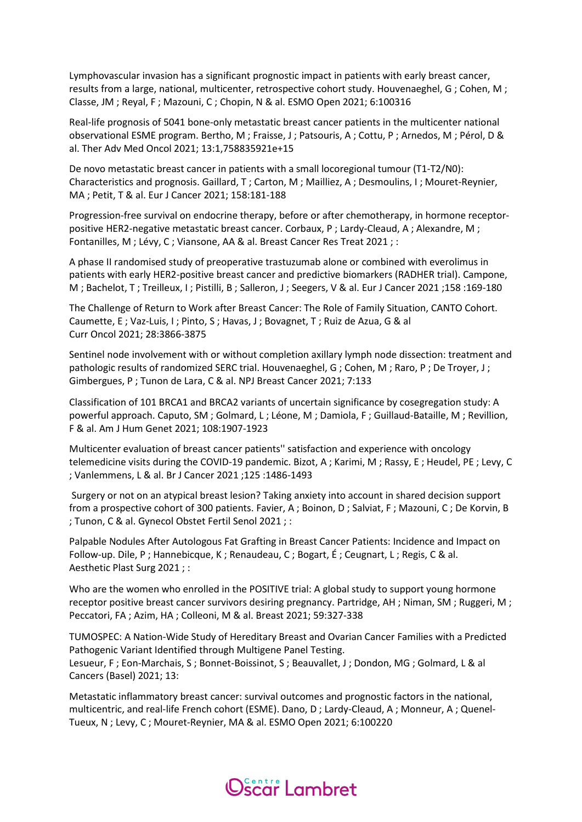Lymphovascular invasion has a significant prognostic impact in patients with early breast cancer, results from a large, national, multicenter, retrospective cohort study. Houvenaeghel, G ; Cohen, M ; Classe, JM ; Reyal, F ; Mazouni, C ; Chopin, N & al. ESMO Open 2021; 6:100316

Real-life prognosis of 5041 bone-only metastatic breast cancer patients in the multicenter national observational ESME program. Bertho, M ; Fraisse, J ; Patsouris, A ; Cottu, P ; Arnedos, M ; Pérol, D & al. Ther Adv Med Oncol 2021; 13:1,758835921e+15

De novo metastatic breast cancer in patients with a small locoregional tumour (T1-T2/N0): Characteristics and prognosis. Gaillard, T ; Carton, M ; Mailliez, A ; Desmoulins, I ; Mouret-Reynier, MA ; Petit, T & al. Eur J Cancer 2021; 158:181-188

Progression-free survival on endocrine therapy, before or after chemotherapy, in hormone receptorpositive HER2-negative metastatic breast cancer. Corbaux, P ; Lardy-Cleaud, A ; Alexandre, M ; Fontanilles, M ; Lévy, C ; Viansone, AA & al. Breast Cancer Res Treat 2021 ; :

A phase II randomised study of preoperative trastuzumab alone or combined with everolimus in patients with early HER2-positive breast cancer and predictive biomarkers (RADHER trial). Campone, M ; Bachelot, T ; Treilleux, I ; Pistilli, B ; Salleron, J ; Seegers, V & al. Eur J Cancer 2021 ;158 :169-180

The Challenge of Return to Work after Breast Cancer: The Role of Family Situation, CANTO Cohort. Caumette, E ; Vaz-Luis, I ; Pinto, S ; Havas, J ; Bovagnet, T ; Ruiz de Azua, G & al Curr Oncol 2021; 28:3866-3875

Sentinel node involvement with or without completion axillary lymph node dissection: treatment and pathologic results of randomized SERC trial. Houvenaeghel, G ; Cohen, M ; Raro, P ; De Troyer, J ; Gimbergues, P ; Tunon de Lara, C & al. NPJ Breast Cancer 2021; 7:133

Classification of 101 BRCA1 and BRCA2 variants of uncertain significance by cosegregation study: A powerful approach. Caputo, SM ; Golmard, L ; Léone, M ; Damiola, F ; Guillaud-Bataille, M ; Revillion, F & al. Am J Hum Genet 2021; 108:1907-1923

Multicenter evaluation of breast cancer patients'' satisfaction and experience with oncology telemedicine visits during the COVID-19 pandemic. Bizot, A ; Karimi, M ; Rassy, E ; Heudel, PE ; Levy, C ; Vanlemmens, L & al. Br J Cancer 2021 ;125 :1486-1493

Surgery or not on an atypical breast lesion? Taking anxiety into account in shared decision support from a prospective cohort of 300 patients. Favier, A ; Boinon, D ; Salviat, F ; Mazouni, C ; De Korvin, B ; Tunon, C & al. Gynecol Obstet Fertil Senol 2021 ; :

Palpable Nodules After Autologous Fat Grafting in Breast Cancer Patients: Incidence and Impact on Follow-up. Dile, P ; Hannebicque, K ; Renaudeau, C ; Bogart, É ; Ceugnart, L ; Regis, C & al. Aesthetic Plast Surg 2021 ; :

Who are the women who enrolled in the POSITIVE trial: A global study to support young hormone receptor positive breast cancer survivors desiring pregnancy. Partridge, AH ; Niman, SM ; Ruggeri, M ; Peccatori, FA ; Azim, HA ; Colleoni, M & al. Breast 2021; 59:327-338

TUMOSPEC: A Nation-Wide Study of Hereditary Breast and Ovarian Cancer Families with a Predicted Pathogenic Variant Identified through Multigene Panel Testing. Lesueur, F ; Eon-Marchais, S ; Bonnet-Boissinot, S ; Beauvallet, J ; Dondon, MG ; Golmard, L & al Cancers (Basel) 2021; 13:

Metastatic inflammatory breast cancer: survival outcomes and prognostic factors in the national, multicentric, and real-life French cohort (ESME). Dano, D ; Lardy-Cleaud, A ; Monneur, A ; Quenel-Tueux, N ; Levy, C ; Mouret-Reynier, MA & al. ESMO Open 2021; 6:100220

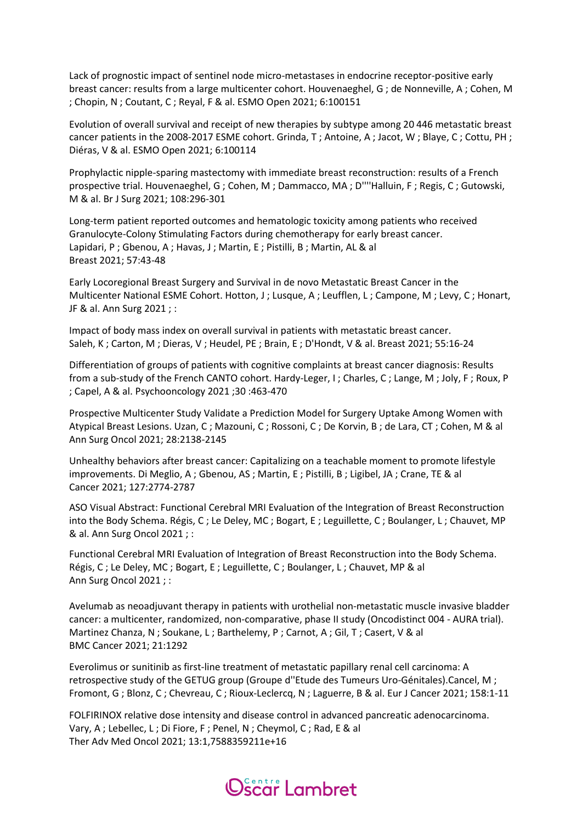Lack of prognostic impact of sentinel node micro-metastases in endocrine receptor-positive early breast cancer: results from a large multicenter cohort. Houvenaeghel, G ; de Nonneville, A ; Cohen, M ; Chopin, N ; Coutant, C ; Reyal, F & al. ESMO Open 2021; 6:100151

Evolution of overall survival and receipt of new therapies by subtype among 20 446 metastatic breast cancer patients in the 2008-2017 ESME cohort. Grinda, T ; Antoine, A ; Jacot, W ; Blaye, C ; Cottu, PH ; Diéras, V & al. ESMO Open 2021; 6:100114

Prophylactic nipple-sparing mastectomy with immediate breast reconstruction: results of a French prospective trial. Houvenaeghel, G ; Cohen, M ; Dammacco, MA ; D''''Halluin, F ; Regis, C ; Gutowski, M & al. Br J Surg 2021; 108:296-301

Long-term patient reported outcomes and hematologic toxicity among patients who received Granulocyte-Colony Stimulating Factors during chemotherapy for early breast cancer. Lapidari, P ; Gbenou, A ; Havas, J ; Martin, E ; Pistilli, B ; Martin, AL & al Breast 2021; 57:43-48

Early Locoregional Breast Surgery and Survival in de novo Metastatic Breast Cancer in the Multicenter National ESME Cohort. Hotton, J ; Lusque, A ; Leufflen, L ; Campone, M ; Levy, C ; Honart, JF & al. Ann Surg 2021 ; :

Impact of body mass index on overall survival in patients with metastatic breast cancer. Saleh, K ; Carton, M ; Dieras, V ; Heudel, PE ; Brain, E ; D'Hondt, V & al. Breast 2021; 55:16-24

Differentiation of groups of patients with cognitive complaints at breast cancer diagnosis: Results from a sub-study of the French CANTO cohort. Hardy-Leger, I ; Charles, C ; Lange, M ; Joly, F ; Roux, P ; Capel, A & al. Psychooncology 2021 ;30 :463-470

Prospective Multicenter Study Validate a Prediction Model for Surgery Uptake Among Women with Atypical Breast Lesions. Uzan, C ; Mazouni, C ; Rossoni, C ; De Korvin, B ; de Lara, CT ; Cohen, M & al Ann Surg Oncol 2021; 28:2138-2145

Unhealthy behaviors after breast cancer: Capitalizing on a teachable moment to promote lifestyle improvements. Di Meglio, A ; Gbenou, AS ; Martin, E ; Pistilli, B ; Ligibel, JA ; Crane, TE & al Cancer 2021; 127:2774-2787

ASO Visual Abstract: Functional Cerebral MRI Evaluation of the Integration of Breast Reconstruction into the Body Schema. Régis, C ; Le Deley, MC ; Bogart, E ; Leguillette, C ; Boulanger, L ; Chauvet, MP & al. Ann Surg Oncol 2021 ; :

Functional Cerebral MRI Evaluation of Integration of Breast Reconstruction into the Body Schema. Régis, C ; Le Deley, MC ; Bogart, E ; Leguillette, C ; Boulanger, L ; Chauvet, MP & al Ann Surg Oncol 2021 ; :

Avelumab as neoadjuvant therapy in patients with urothelial non-metastatic muscle invasive bladder cancer: a multicenter, randomized, non-comparative, phase II study (Oncodistinct 004 - AURA trial). Martinez Chanza, N ; Soukane, L ; Barthelemy, P ; Carnot, A ; Gil, T ; Casert, V & al BMC Cancer 2021; 21:1292

Everolimus or sunitinib as first-line treatment of metastatic papillary renal cell carcinoma: A retrospective study of the GETUG group (Groupe d''Etude des Tumeurs Uro-Génitales).Cancel, M ; Fromont, G ; Blonz, C ; Chevreau, C ; Rioux-Leclercq, N ; Laguerre, B & al. Eur J Cancer 2021; 158:1-11

FOLFIRINOX relative dose intensity and disease control in advanced pancreatic adenocarcinoma. Vary, A ; Lebellec, L ; Di Fiore, F ; Penel, N ; Cheymol, C ; Rad, E & al Ther Adv Med Oncol 2021; 13:1,7588359211e+16

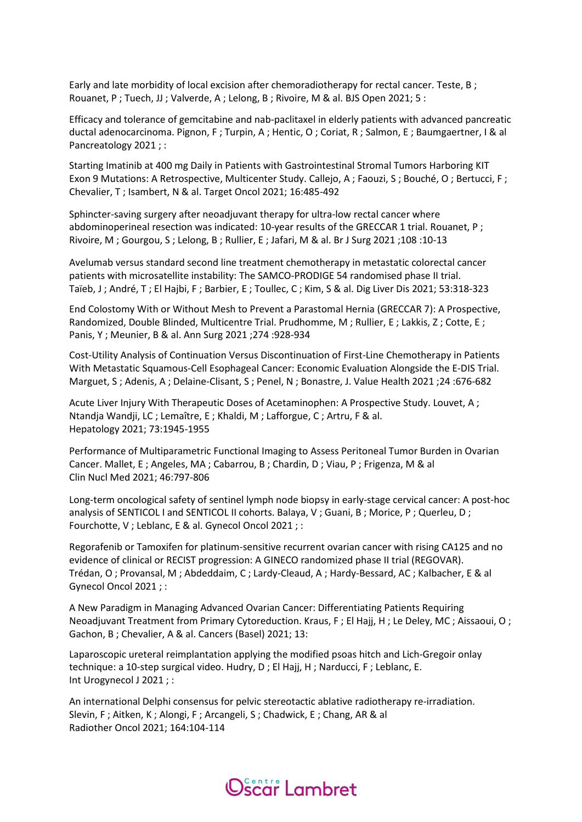Early and late morbidity of local excision after chemoradiotherapy for rectal cancer. Teste, B ; Rouanet, P ; Tuech, JJ ; Valverde, A ; Lelong, B ; Rivoire, M & al. BJS Open 2021; 5 :

Efficacy and tolerance of gemcitabine and nab-paclitaxel in elderly patients with advanced pancreatic ductal adenocarcinoma. Pignon, F ; Turpin, A ; Hentic, O ; Coriat, R ; Salmon, E ; Baumgaertner, I & al Pancreatology 2021 ; :

Starting Imatinib at 400 mg Daily in Patients with Gastrointestinal Stromal Tumors Harboring KIT Exon 9 Mutations: A Retrospective, Multicenter Study. Callejo, A ; Faouzi, S ; Bouché, O ; Bertucci, F ; Chevalier, T ; Isambert, N & al. Target Oncol 2021; 16:485-492

Sphincter-saving surgery after neoadjuvant therapy for ultra-low rectal cancer where abdominoperineal resection was indicated: 10-year results of the GRECCAR 1 trial. Rouanet, P ; Rivoire, M ; Gourgou, S ; Lelong, B ; Rullier, E ; Jafari, M & al. Br J Surg 2021 ;108 :10-13

Avelumab versus standard second line treatment chemotherapy in metastatic colorectal cancer patients with microsatellite instability: The SAMCO-PRODIGE 54 randomised phase II trial. Taïeb, J ; André, T ; El Hajbi, F ; Barbier, E ; Toullec, C ; Kim, S & al. Dig Liver Dis 2021; 53:318-323

End Colostomy With or Without Mesh to Prevent a Parastomal Hernia (GRECCAR 7): A Prospective, Randomized, Double Blinded, Multicentre Trial. Prudhomme, M; Rullier, E; Lakkis, Z; Cotte, E; Panis, Y ; Meunier, B & al. Ann Surg 2021 ;274 :928-934

Cost-Utility Analysis of Continuation Versus Discontinuation of First-Line Chemotherapy in Patients With Metastatic Squamous-Cell Esophageal Cancer: Economic Evaluation Alongside the E-DIS Trial. Marguet, S ; Adenis, A ; Delaine-Clisant, S ; Penel, N ; Bonastre, J. Value Health 2021 ;24 :676-682

Acute Liver Injury With Therapeutic Doses of Acetaminophen: A Prospective Study. Louvet, A ; Ntandja Wandji, LC ; Lemaître, E ; Khaldi, M ; Lafforgue, C ; Artru, F & al. Hepatology 2021; 73:1945-1955

Performance of Multiparametric Functional Imaging to Assess Peritoneal Tumor Burden in Ovarian Cancer. Mallet, E ; Angeles, MA ; Cabarrou, B ; Chardin, D ; Viau, P ; Frigenza, M & al Clin Nucl Med 2021; 46:797-806

Long-term oncological safety of sentinel lymph node biopsy in early-stage cervical cancer: A post-hoc analysis of SENTICOL I and SENTICOL II cohorts. Balaya, V ; Guani, B ; Morice, P ; Querleu, D ; Fourchotte, V ; Leblanc, E & al. Gynecol Oncol 2021 ; :

Regorafenib or Tamoxifen for platinum-sensitive recurrent ovarian cancer with rising CA125 and no evidence of clinical or RECIST progression: A GINECO randomized phase II trial (REGOVAR). Trédan, O ; Provansal, M ; Abdeddaim, C ; Lardy-Cleaud, A ; Hardy-Bessard, AC ; Kalbacher, E & al Gynecol Oncol 2021 ; :

A New Paradigm in Managing Advanced Ovarian Cancer: Differentiating Patients Requiring Neoadjuvant Treatment from Primary Cytoreduction. Kraus, F ; El Hajj, H ; Le Deley, MC ; Aissaoui, O ; Gachon, B ; Chevalier, A & al. Cancers (Basel) 2021; 13:

Laparoscopic ureteral reimplantation applying the modified psoas hitch and Lich-Gregoir onlay technique: a 10-step surgical video. Hudry, D ; El Hajj, H ; Narducci, F ; Leblanc, E. Int Urogynecol J 2021 ; :

An international Delphi consensus for pelvic stereotactic ablative radiotherapy re-irradiation. Slevin, F ; Aitken, K ; Alongi, F ; Arcangeli, S ; Chadwick, E ; Chang, AR & al Radiother Oncol 2021; 164:104-114

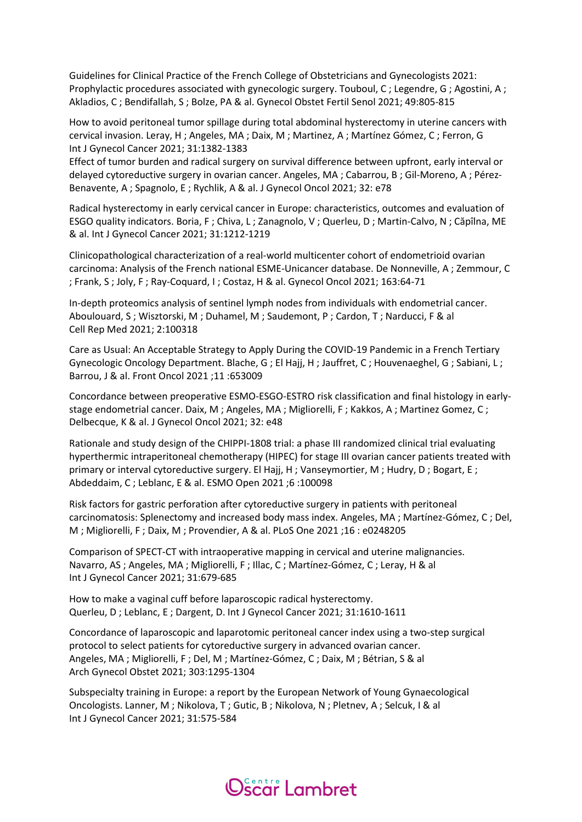Guidelines for Clinical Practice of the French College of Obstetricians and Gynecologists 2021: Prophylactic procedures associated with gynecologic surgery. Touboul, C ; Legendre, G ; Agostini, A ; Akladios, C ; Bendifallah, S ; Bolze, PA & al. Gynecol Obstet Fertil Senol 2021; 49:805-815

How to avoid peritoneal tumor spillage during total abdominal hysterectomy in uterine cancers with cervical invasion. Leray, H ; Angeles, MA ; Daix, M ; Martinez, A ; Martínez Gómez, C ; Ferron, G Int J Gynecol Cancer 2021; 31:1382-1383

Effect of tumor burden and radical surgery on survival difference between upfront, early interval or delayed cytoreductive surgery in ovarian cancer. Angeles, MA ; Cabarrou, B ; Gil-Moreno, A ; Pérez-Benavente, A ; Spagnolo, E ; Rychlik, A & al. J Gynecol Oncol 2021; 32: e78

Radical hysterectomy in early cervical cancer in Europe: characteristics, outcomes and evaluation of ESGO quality indicators. Boria, F ; Chiva, L ; Zanagnolo, V ; Querleu, D ; Martin-Calvo, N ; Căpîlna, ME & al. Int J Gynecol Cancer 2021; 31:1212-1219

Clinicopathological characterization of a real-world multicenter cohort of endometrioid ovarian carcinoma: Analysis of the French national ESME-Unicancer database. De Nonneville, A ; Zemmour, C ; Frank, S ; Joly, F ; Ray-Coquard, I ; Costaz, H & al. Gynecol Oncol 2021; 163:64-71

In-depth proteomics analysis of sentinel lymph nodes from individuals with endometrial cancer. Aboulouard, S ; Wisztorski, M ; Duhamel, M ; Saudemont, P ; Cardon, T ; Narducci, F & al Cell Rep Med 2021; 2:100318

Care as Usual: An Acceptable Strategy to Apply During the COVID-19 Pandemic in a French Tertiary Gynecologic Oncology Department. Blache, G ; El Hajj, H ; Jauffret, C ; Houvenaeghel, G ; Sabiani, L ; Barrou, J & al. Front Oncol 2021 ;11 :653009

Concordance between preoperative ESMO-ESGO-ESTRO risk classification and final histology in earlystage endometrial cancer. Daix, M ; Angeles, MA ; Migliorelli, F ; Kakkos, A ; Martinez Gomez, C ; Delbecque, K & al. J Gynecol Oncol 2021; 32: e48

Rationale and study design of the CHIPPI-1808 trial: a phase III randomized clinical trial evaluating hyperthermic intraperitoneal chemotherapy (HIPEC) for stage III ovarian cancer patients treated with primary or interval cytoreductive surgery. El Hajj, H; Vanseymortier, M; Hudry, D; Bogart, E; Abdeddaim, C ; Leblanc, E & al. ESMO Open 2021 ;6 :100098

Risk factors for gastric perforation after cytoreductive surgery in patients with peritoneal carcinomatosis: Splenectomy and increased body mass index. Angeles, MA ; Martínez-Gómez, C ; Del, M ; Migliorelli, F ; Daix, M ; Provendier, A & al. PLoS One 2021 ;16 : e0248205

Comparison of SPECT-CT with intraoperative mapping in cervical and uterine malignancies. Navarro, AS ; Angeles, MA ; Migliorelli, F ; Illac, C ; Martínez-Gómez, C ; Leray, H & al Int J Gynecol Cancer 2021; 31:679-685

How to make a vaginal cuff before laparoscopic radical hysterectomy. Querleu, D ; Leblanc, E ; Dargent, D. Int J Gynecol Cancer 2021; 31:1610-1611

Concordance of laparoscopic and laparotomic peritoneal cancer index using a two-step surgical protocol to select patients for cytoreductive surgery in advanced ovarian cancer. Angeles, MA ; Migliorelli, F ; Del, M ; Martínez-Gómez, C ; Daix, M ; Bétrian, S & al Arch Gynecol Obstet 2021; 303:1295-1304

Subspecialty training in Europe: a report by the European Network of Young Gynaecological Oncologists. Lanner, M ; Nikolova, T ; Gutic, B ; Nikolova, N ; Pletnev, A ; Selcuk, I & al Int J Gynecol Cancer 2021; 31:575-584

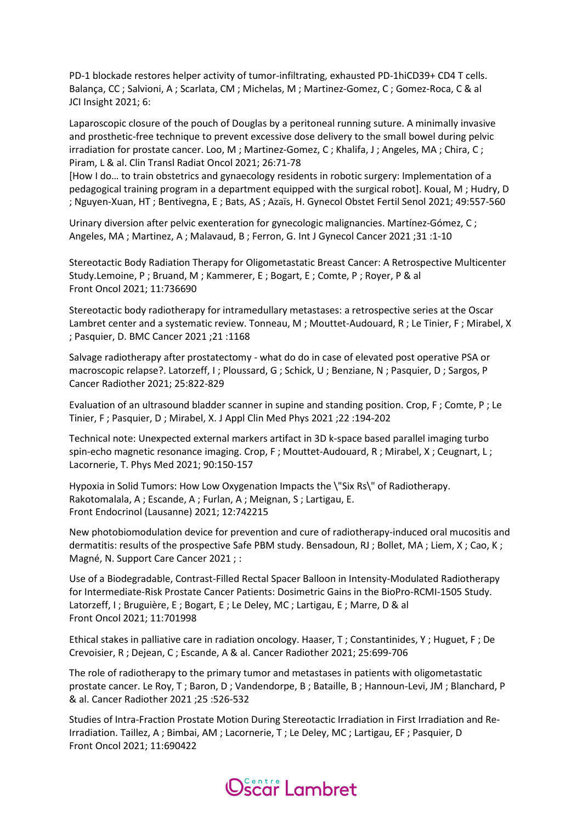PD-1 blockade restores helper activity of tumor-infiltrating, exhausted PD-1hiCD39+ CD4 T cells. Balança, CC ; Salvioni, A ; Scarlata, CM ; Michelas, M ; Martinez-Gomez, C ; Gomez-Roca, C & al JCI Insight 2021; 6:

Laparoscopic closure of the pouch of Douglas by a peritoneal running suture. A minimally invasive and prosthetic-free technique to prevent excessive dose delivery to the small bowel during pelvic irradiation for prostate cancer. Loo, M ; Martinez-Gomez, C ; Khalifa, J ; Angeles, MA ; Chira, C ; Piram, L & al. Clin Transl Radiat Oncol 2021; 26:71-78

[How I do… to train obstetrics and gynaecology residents in robotic surgery: Implementation of a pedagogical training program in a department equipped with the surgical robot]. Koual, M ; Hudry, D ; Nguyen-Xuan, HT ; Bentivegna, E ; Bats, AS ; Azaïs, H. Gynecol Obstet Fertil Senol 2021; 49:557-560

Urinary diversion after pelvic exenteration for gynecologic malignancies. Martínez-Gómez, C ; Angeles, MA ; Martinez, A ; Malavaud, B ; Ferron, G. Int J Gynecol Cancer 2021 ;31 :1-10

Stereotactic Body Radiation Therapy for Oligometastatic Breast Cancer: A Retrospective Multicenter Study.Lemoine, P ; Bruand, M ; Kammerer, E ; Bogart, E ; Comte, P ; Royer, P & al Front Oncol 2021; 11:736690

Stereotactic body radiotherapy for intramedullary metastases: a retrospective series at the Oscar Lambret center and a systematic review. Tonneau, M ; Mouttet-Audouard, R ; Le Tinier, F ; Mirabel, X ; Pasquier, D. BMC Cancer 2021 ;21 :1168

Salvage radiotherapy after prostatectomy - what do do in case of elevated post operative PSA or macroscopic relapse?. Latorzeff, I; Ploussard, G; Schick, U; Benziane, N; Pasquier, D; Sargos, P Cancer Radiother 2021; 25:822-829

Evaluation of an ultrasound bladder scanner in supine and standing position. Crop, F ; Comte, P ; Le Tinier, F ; Pasquier, D ; Mirabel, X. J Appl Clin Med Phys 2021 ;22 :194-202

Technical note: Unexpected external markers artifact in 3D k-space based parallel imaging turbo spin-echo magnetic resonance imaging. Crop, F; Mouttet-Audouard, R; Mirabel, X; Ceugnart, L; Lacornerie, T. Phys Med 2021; 90:150-157

Hypoxia in Solid Tumors: How Low Oxygenation Impacts the \"Six Rs\" of Radiotherapy. Rakotomalala, A ; Escande, A ; Furlan, A ; Meignan, S ; Lartigau, E. Front Endocrinol (Lausanne) 2021; 12:742215

New photobiomodulation device for prevention and cure of radiotherapy-induced oral mucositis and dermatitis: results of the prospective Safe PBM study. Bensadoun, RJ ; Bollet, MA ; Liem, X ; Cao, K ; Magné, N. Support Care Cancer 2021 ; :

Use of a Biodegradable, Contrast-Filled Rectal Spacer Balloon in Intensity-Modulated Radiotherapy for Intermediate-Risk Prostate Cancer Patients: Dosimetric Gains in the BioPro-RCMI-1505 Study. Latorzeff, I; Bruguière, E; Bogart, E; Le Deley, MC; Lartigau, E; Marre, D & al Front Oncol 2021; 11:701998

Ethical stakes in palliative care in radiation oncology. Haaser, T ; Constantinides, Y ; Huguet, F ; De Crevoisier, R ; Dejean, C ; Escande, A & al. Cancer Radiother 2021; 25:699-706

The role of radiotherapy to the primary tumor and metastases in patients with oligometastatic prostate cancer. Le Roy, T ; Baron, D ; Vandendorpe, B ; Bataille, B ; Hannoun-Levi, JM ; Blanchard, P & al. Cancer Radiother 2021 ;25 :526-532

Studies of Intra-Fraction Prostate Motion During Stereotactic Irradiation in First Irradiation and Re-Irradiation. Taillez, A ; Bimbai, AM ; Lacornerie, T ; Le Deley, MC ; Lartigau, EF ; Pasquier, D Front Oncol 2021; 11:690422

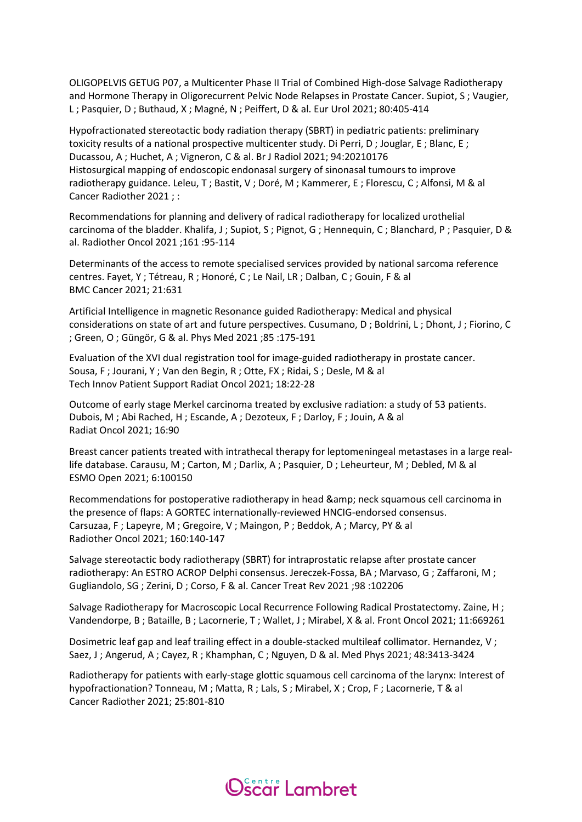OLIGOPELVIS GETUG P07, a Multicenter Phase II Trial of Combined High-dose Salvage Radiotherapy and Hormone Therapy in Oligorecurrent Pelvic Node Relapses in Prostate Cancer. Supiot, S ; Vaugier, L ; Pasquier, D ; Buthaud, X ; Magné, N ; Peiffert, D & al. Eur Urol 2021; 80:405-414

Hypofractionated stereotactic body radiation therapy (SBRT) in pediatric patients: preliminary toxicity results of a national prospective multicenter study. Di Perri, D ; Jouglar, E ; Blanc, E ; Ducassou, A ; Huchet, A ; Vigneron, C & al. Br J Radiol 2021; 94:20210176 Histosurgical mapping of endoscopic endonasal surgery of sinonasal tumours to improve radiotherapy guidance. Leleu, T ; Bastit, V ; Doré, M ; Kammerer, E ; Florescu, C ; Alfonsi, M & al Cancer Radiother 2021 ; :

Recommendations for planning and delivery of radical radiotherapy for localized urothelial carcinoma of the bladder. Khalifa, J; Supiot, S; Pignot, G; Hennequin, C; Blanchard, P; Pasquier, D & al. Radiother Oncol 2021 ;161 :95-114

Determinants of the access to remote specialised services provided by national sarcoma reference centres. Fayet, Y ; Tétreau, R ; Honoré, C ; Le Nail, LR ; Dalban, C ; Gouin, F & al BMC Cancer 2021; 21:631

Artificial Intelligence in magnetic Resonance guided Radiotherapy: Medical and physical considerations on state of art and future perspectives. Cusumano, D ; Boldrini, L ; Dhont, J ; Fiorino, C ; Green, O ; Güngör, G & al. Phys Med 2021 ;85 :175-191

Evaluation of the XVI dual registration tool for image-guided radiotherapy in prostate cancer. Sousa, F ; Jourani, Y ; Van den Begin, R ; Otte, FX ; Ridai, S ; Desle, M & al Tech Innov Patient Support Radiat Oncol 2021; 18:22-28

Outcome of early stage Merkel carcinoma treated by exclusive radiation: a study of 53 patients. Dubois, M ; Abi Rached, H ; Escande, A ; Dezoteux, F ; Darloy, F ; Jouin, A & al Radiat Oncol 2021; 16:90

Breast cancer patients treated with intrathecal therapy for leptomeningeal metastases in a large reallife database. Carausu, M ; Carton, M ; Darlix, A ; Pasquier, D ; Leheurteur, M ; Debled, M & al ESMO Open 2021; 6:100150

Recommendations for postoperative radiotherapy in head & amp; neck squamous cell carcinoma in the presence of flaps: A GORTEC internationally-reviewed HNCIG-endorsed consensus. Carsuzaa, F ; Lapeyre, M ; Gregoire, V ; Maingon, P ; Beddok, A ; Marcy, PY & al Radiother Oncol 2021; 160:140-147

Salvage stereotactic body radiotherapy (SBRT) for intraprostatic relapse after prostate cancer radiotherapy: An ESTRO ACROP Delphi consensus. Jereczek-Fossa, BA ; Marvaso, G ; Zaffaroni, M ; Gugliandolo, SG ; Zerini, D ; Corso, F & al. Cancer Treat Rev 2021 ;98 :102206

Salvage Radiotherapy for Macroscopic Local Recurrence Following Radical Prostatectomy. Zaine, H ; Vandendorpe, B ; Bataille, B ; Lacornerie, T ; Wallet, J ; Mirabel, X & al. Front Oncol 2021; 11:669261

Dosimetric leaf gap and leaf trailing effect in a double-stacked multileaf collimator. Hernandez, V ; Saez, J ; Angerud, A ; Cayez, R ; Khamphan, C ; Nguyen, D & al. Med Phys 2021; 48:3413-3424

Radiotherapy for patients with early-stage glottic squamous cell carcinoma of the larynx: Interest of hypofractionation? Tonneau, M ; Matta, R ; Lals, S ; Mirabel, X ; Crop, F ; Lacornerie, T & al Cancer Radiother 2021; 25:801-810

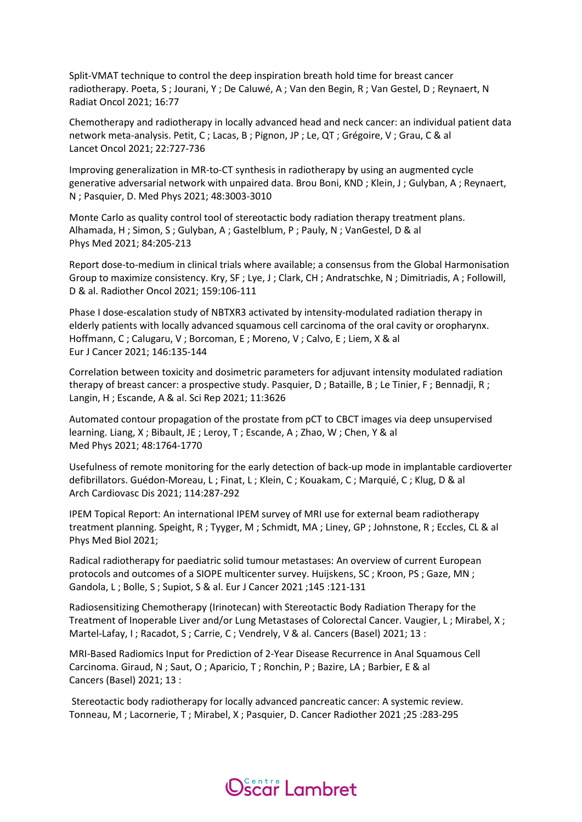Split-VMAT technique to control the deep inspiration breath hold time for breast cancer radiotherapy. Poeta, S ; Jourani, Y ; De Caluwé, A ; Van den Begin, R ; Van Gestel, D ; Reynaert, N Radiat Oncol 2021; 16:77

Chemotherapy and radiotherapy in locally advanced head and neck cancer: an individual patient data network meta-analysis. Petit, C ; Lacas, B ; Pignon, JP ; Le, QT ; Grégoire, V ; Grau, C & al Lancet Oncol 2021; 22:727-736

Improving generalization in MR-to-CT synthesis in radiotherapy by using an augmented cycle generative adversarial network with unpaired data. Brou Boni, KND ; Klein, J ; Gulyban, A ; Reynaert, N ; Pasquier, D. Med Phys 2021; 48:3003-3010

Monte Carlo as quality control tool of stereotactic body radiation therapy treatment plans. Alhamada, H ; Simon, S ; Gulyban, A ; Gastelblum, P ; Pauly, N ; VanGestel, D & al Phys Med 2021; 84:205-213

Report dose-to-medium in clinical trials where available; a consensus from the Global Harmonisation Group to maximize consistency. Kry, SF ; Lye, J ; Clark, CH ; Andratschke, N ; Dimitriadis, A ; Followill, D & al. Radiother Oncol 2021; 159:106-111

Phase I dose-escalation study of NBTXR3 activated by intensity-modulated radiation therapy in elderly patients with locally advanced squamous cell carcinoma of the oral cavity or oropharynx. Hoffmann, C ; Calugaru, V ; Borcoman, E ; Moreno, V ; Calvo, E ; Liem, X & al Eur J Cancer 2021; 146:135-144

Correlation between toxicity and dosimetric parameters for adjuvant intensity modulated radiation therapy of breast cancer: a prospective study. Pasquier, D ; Bataille, B ; Le Tinier, F ; Bennadji, R ; Langin, H ; Escande, A & al. Sci Rep 2021; 11:3626

Automated contour propagation of the prostate from pCT to CBCT images via deep unsupervised learning. Liang, X ; Bibault, JE ; Leroy, T ; Escande, A ; Zhao, W ; Chen, Y & al Med Phys 2021; 48:1764-1770

Usefulness of remote monitoring for the early detection of back-up mode in implantable cardioverter defibrillators. Guédon-Moreau, L ; Finat, L ; Klein, C ; Kouakam, C ; Marquié, C ; Klug, D & al Arch Cardiovasc Dis 2021; 114:287-292

IPEM Topical Report: An international IPEM survey of MRI use for external beam radiotherapy treatment planning. Speight, R ; Tyyger, M ; Schmidt, MA ; Liney, GP ; Johnstone, R ; Eccles, CL & al Phys Med Biol 2021;

Radical radiotherapy for paediatric solid tumour metastases: An overview of current European protocols and outcomes of a SIOPE multicenter survey. Huijskens, SC ; Kroon, PS ; Gaze, MN ; Gandola, L ; Bolle, S ; Supiot, S & al. Eur J Cancer 2021 ;145 :121-131

Radiosensitizing Chemotherapy (Irinotecan) with Stereotactic Body Radiation Therapy for the Treatment of Inoperable Liver and/or Lung Metastases of Colorectal Cancer. Vaugier, L ; Mirabel, X ; Martel-Lafay, I; Racadot, S; Carrie, C; Vendrely, V & al. Cancers (Basel) 2021; 13 :

MRI-Based Radiomics Input for Prediction of 2-Year Disease Recurrence in Anal Squamous Cell Carcinoma. Giraud, N ; Saut, O ; Aparicio, T ; Ronchin, P ; Bazire, LA ; Barbier, E & al Cancers (Basel) 2021; 13 :

Stereotactic body radiotherapy for locally advanced pancreatic cancer: A systemic review. Tonneau, M ; Lacornerie, T ; Mirabel, X ; Pasquier, D. Cancer Radiother 2021 ;25 :283-295

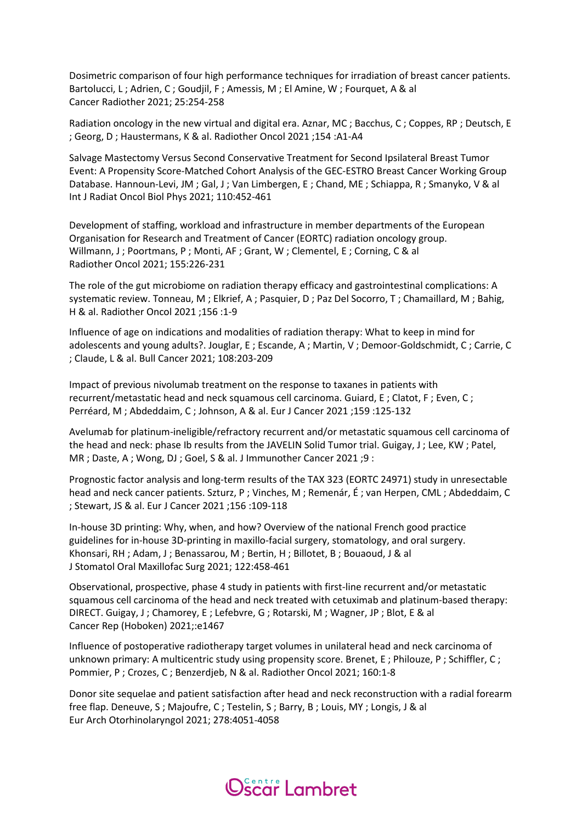Dosimetric comparison of four high performance techniques for irradiation of breast cancer patients. Bartolucci, L ; Adrien, C ; Goudjil, F ; Amessis, M ; El Amine, W ; Fourquet, A & al Cancer Radiother 2021; 25:254-258

Radiation oncology in the new virtual and digital era. Aznar, MC ; Bacchus, C ; Coppes, RP ; Deutsch, E ; Georg, D ; Haustermans, K & al. Radiother Oncol 2021 ;154 :A1-A4

Salvage Mastectomy Versus Second Conservative Treatment for Second Ipsilateral Breast Tumor Event: A Propensity Score-Matched Cohort Analysis of the GEC-ESTRO Breast Cancer Working Group Database. Hannoun-Levi, JM ; Gal, J ; Van Limbergen, E ; Chand, ME ; Schiappa, R ; Smanyko, V & al Int J Radiat Oncol Biol Phys 2021; 110:452-461

Development of staffing, workload and infrastructure in member departments of the European Organisation for Research and Treatment of Cancer (EORTC) radiation oncology group. Willmann, J ; Poortmans, P ; Monti, AF ; Grant, W ; Clementel, E ; Corning, C & al Radiother Oncol 2021; 155:226-231

The role of the gut microbiome on radiation therapy efficacy and gastrointestinal complications: A systematic review. Tonneau, M ; Elkrief, A ; Pasquier, D ; Paz Del Socorro, T ; Chamaillard, M ; Bahig, H & al. Radiother Oncol 2021 ;156 :1-9

Influence of age on indications and modalities of radiation therapy: What to keep in mind for adolescents and young adults?. Jouglar, E ; Escande, A ; Martin, V ; Demoor-Goldschmidt, C ; Carrie, C ; Claude, L & al. Bull Cancer 2021; 108:203-209

Impact of previous nivolumab treatment on the response to taxanes in patients with recurrent/metastatic head and neck squamous cell carcinoma. Guiard, E ; Clatot, F ; Even, C ; Perréard, M ; Abdeddaim, C ; Johnson, A & al. Eur J Cancer 2021 ;159 :125-132

Avelumab for platinum-ineligible/refractory recurrent and/or metastatic squamous cell carcinoma of the head and neck: phase Ib results from the JAVELIN Solid Tumor trial. Guigay, J ; Lee, KW ; Patel, MR ; Daste, A ; Wong, DJ ; Goel, S & al. J Immunother Cancer 2021 ;9 :

Prognostic factor analysis and long-term results of the TAX 323 (EORTC 24971) study in unresectable head and neck cancer patients. Szturz, P ; Vinches, M ; Remenár, É ; van Herpen, CML ; Abdeddaim, C ; Stewart, JS & al. Eur J Cancer 2021 ;156 :109-118

In-house 3D printing: Why, when, and how? Overview of the national French good practice guidelines for in-house 3D-printing in maxillo-facial surgery, stomatology, and oral surgery. Khonsari, RH ; Adam, J ; Benassarou, M ; Bertin, H ; Billotet, B ; Bouaoud, J & al J Stomatol Oral Maxillofac Surg 2021; 122:458-461

Observational, prospective, phase 4 study in patients with first-line recurrent and/or metastatic squamous cell carcinoma of the head and neck treated with cetuximab and platinum-based therapy: DIRECT. Guigay, J ; Chamorey, E ; Lefebvre, G ; Rotarski, M ; Wagner, JP ; Blot, E & al Cancer Rep (Hoboken) 2021;:e1467

Influence of postoperative radiotherapy target volumes in unilateral head and neck carcinoma of unknown primary: A multicentric study using propensity score. Brenet, E ; Philouze, P ; Schiffler, C ; Pommier, P ; Crozes, C ; Benzerdjeb, N & al. Radiother Oncol 2021; 160:1-8

Donor site sequelae and patient satisfaction after head and neck reconstruction with a radial forearm free flap. Deneuve, S ; Majoufre, C ; Testelin, S ; Barry, B ; Louis, MY ; Longis, J & al Eur Arch Otorhinolaryngol 2021; 278:4051-4058

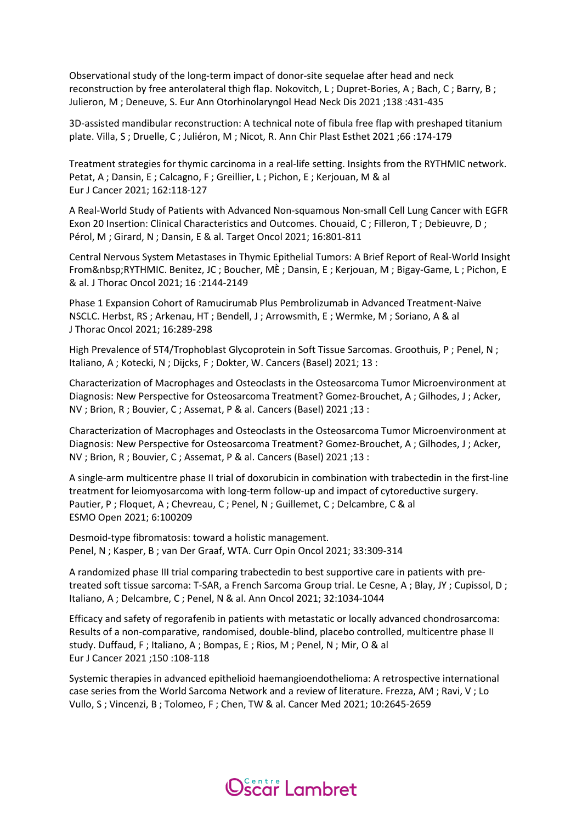Observational study of the long-term impact of donor-site sequelae after head and neck reconstruction by free anterolateral thigh flap. Nokovitch, L; Dupret-Bories, A; Bach, C; Barry, B; Julieron, M ; Deneuve, S. Eur Ann Otorhinolaryngol Head Neck Dis 2021 ;138 :431-435

3D-assisted mandibular reconstruction: A technical note of fibula free flap with preshaped titanium plate. Villa, S ; Druelle, C ; Juliéron, M ; Nicot, R. Ann Chir Plast Esthet 2021 ;66 :174-179

Treatment strategies for thymic carcinoma in a real-life setting. Insights from the RYTHMIC network. Petat, A ; Dansin, E ; Calcagno, F ; Greillier, L ; Pichon, E ; Kerjouan, M & al Eur J Cancer 2021; 162:118-127

A Real-World Study of Patients with Advanced Non-squamous Non-small Cell Lung Cancer with EGFR Exon 20 Insertion: Clinical Characteristics and Outcomes. Chouaid, C ; Filleron, T ; Debieuvre, D ; Pérol, M ; Girard, N ; Dansin, E & al. Target Oncol 2021; 16:801-811

Central Nervous System Metastases in Thymic Epithelial Tumors: A Brief Report of Real-World Insight From & nbsp; RYTHMIC. Benitez, JC; Boucher, ME; Dansin, E; Kerjouan, M; Bigay-Game, L; Pichon, E & al. J Thorac Oncol 2021; 16 :2144-2149

Phase 1 Expansion Cohort of Ramucirumab Plus Pembrolizumab in Advanced Treatment-Naive NSCLC. Herbst, RS ; Arkenau, HT ; Bendell, J ; Arrowsmith, E ; Wermke, M ; Soriano, A & al J Thorac Oncol 2021; 16:289-298

High Prevalence of 5T4/Trophoblast Glycoprotein in Soft Tissue Sarcomas. Groothuis, P ; Penel, N ; Italiano, A ; Kotecki, N ; Dijcks, F ; Dokter, W. Cancers (Basel) 2021; 13 :

Characterization of Macrophages and Osteoclasts in the Osteosarcoma Tumor Microenvironment at Diagnosis: New Perspective for Osteosarcoma Treatment? Gomez-Brouchet, A ; Gilhodes, J ; Acker, NV ; Brion, R ; Bouvier, C ; Assemat, P & al. Cancers (Basel) 2021 ;13 :

Characterization of Macrophages and Osteoclasts in the Osteosarcoma Tumor Microenvironment at Diagnosis: New Perspective for Osteosarcoma Treatment? Gomez-Brouchet, A ; Gilhodes, J ; Acker, NV ; Brion, R ; Bouvier, C ; Assemat, P & al. Cancers (Basel) 2021 ;13 :

A single-arm multicentre phase II trial of doxorubicin in combination with trabectedin in the first-line treatment for leiomyosarcoma with long-term follow-up and impact of cytoreductive surgery. Pautier, P ; Floquet, A ; Chevreau, C ; Penel, N ; Guillemet, C ; Delcambre, C & al ESMO Open 2021; 6:100209

Desmoid-type fibromatosis: toward a holistic management. Penel, N ; Kasper, B ; van Der Graaf, WTA. Curr Opin Oncol 2021; 33:309-314

A randomized phase III trial comparing trabectedin to best supportive care in patients with pretreated soft tissue sarcoma: T-SAR, a French Sarcoma Group trial. Le Cesne, A ; Blay, JY ; Cupissol, D ; Italiano, A ; Delcambre, C ; Penel, N & al. Ann Oncol 2021; 32:1034-1044

Efficacy and safety of regorafenib in patients with metastatic or locally advanced chondrosarcoma: Results of a non-comparative, randomised, double-blind, placebo controlled, multicentre phase II study. Duffaud, F ; Italiano, A ; Bompas, E ; Rios, M ; Penel, N ; Mir, O & al Eur J Cancer 2021 ;150 :108-118

Systemic therapies in advanced epithelioid haemangioendothelioma: A retrospective international case series from the World Sarcoma Network and a review of literature. Frezza, AM ; Ravi, V ; Lo Vullo, S ; Vincenzi, B ; Tolomeo, F ; Chen, TW & al. Cancer Med 2021; 10:2645-2659